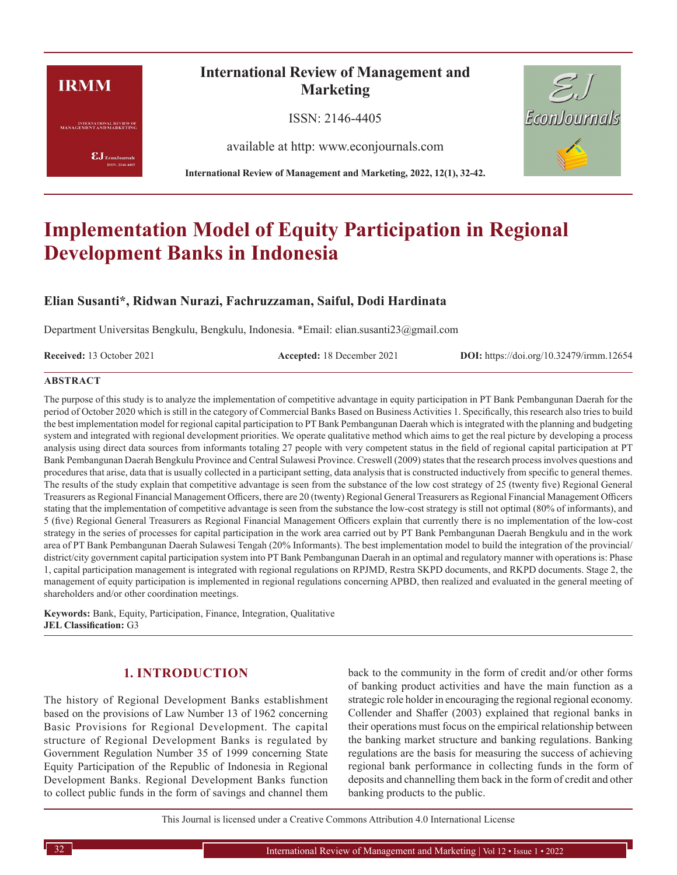# **IRMM**

**INTERNATIONAL REVIEW OF**<br>MANAGEMENT AND MARKETING

 $\pmb{\text{EJ}}$ EconJournals SSN: 2146-4405

# **International Review of Management and Marketing**

ISSN: 2146-4405

available at http: www.econjournals.com

**International Review of Management and Marketing, 2022, 12(1), 32-42.**



# **Implementation Model of Equity Participation in Regional Development Banks in Indonesia**

## **Elian Susanti\*, Ridwan Nurazi, Fachruzzaman, Saiful, Dodi Hardinata**

Department Universitas Bengkulu, Bengkulu, Indonesia. \*Email: elian.susanti23@gmail.com

**Received:** 13 October 2021 **Accepted:** 18 December 2021 **DOI:** https://doi.org/10.32479/irmm.12654

#### **ABSTRACT**

The purpose of this study is to analyze the implementation of competitive advantage in equity participation in PT Bank Pembangunan Daerah for the period of October 2020 which is still in the category of Commercial Banks Based on Business Activities 1. Specifically, this research also tries to build the best implementation model for regional capital participation to PT Bank Pembangunan Daerah which is integrated with the planning and budgeting system and integrated with regional development priorities. We operate qualitative method which aims to get the real picture by developing a process analysis using direct data sources from informants totaling 27 people with very competent status in the field of regional capital participation at PT Bank Pembangunan Daerah Bengkulu Province and Central Sulawesi Province. Creswell (2009) states that the research process involves questions and procedures that arise, data that is usually collected in a participant setting, data analysis that is constructed inductively from specific to general themes. The results of the study explain that competitive advantage is seen from the substance of the low cost strategy of 25 (twenty five) Regional General Treasurers as Regional Financial Management Officers, there are 20 (twenty) Regional General Treasurers as Regional Financial Management Officers stating that the implementation of competitive advantage is seen from the substance the low-cost strategy is still not optimal (80% of informants), and 5 (five) Regional General Treasurers as Regional Financial Management Officers explain that currently there is no implementation of the low-cost strategy in the series of processes for capital participation in the work area carried out by PT Bank Pembangunan Daerah Bengkulu and in the work area of PT Bank Pembangunan Daerah Sulawesi Tengah (20% Informants). The best implementation model to build the integration of the provincial/ district/city government capital participation system into PT Bank Pembangunan Daerah in an optimal and regulatory manner with operations is: Phase 1, capital participation management is integrated with regional regulations on RPJMD, Restra SKPD documents, and RKPD documents. Stage 2, the management of equity participation is implemented in regional regulations concerning APBD, then realized and evaluated in the general meeting of shareholders and/or other coordination meetings.

**Keywords:** Bank, Equity, Participation, Finance, Integration, Qualitative **JEL Classification:** G3

# **1. INTRODUCTION**

The history of Regional Development Banks establishment based on the provisions of Law Number 13 of 1962 concerning Basic Provisions for Regional Development. The capital structure of Regional Development Banks is regulated by Government Regulation Number 35 of 1999 concerning State Equity Participation of the Republic of Indonesia in Regional Development Banks. Regional Development Banks function to collect public funds in the form of savings and channel them back to the community in the form of credit and/or other forms of banking product activities and have the main function as a strategic role holder in encouraging the regional regional economy. Collender and Shaffer (2003) explained that regional banks in their operations must focus on the empirical relationship between the banking market structure and banking regulations. Banking regulations are the basis for measuring the success of achieving regional bank performance in collecting funds in the form of deposits and channelling them back in the form of credit and other banking products to the public.

This Journal is licensed under a Creative Commons Attribution 4.0 International License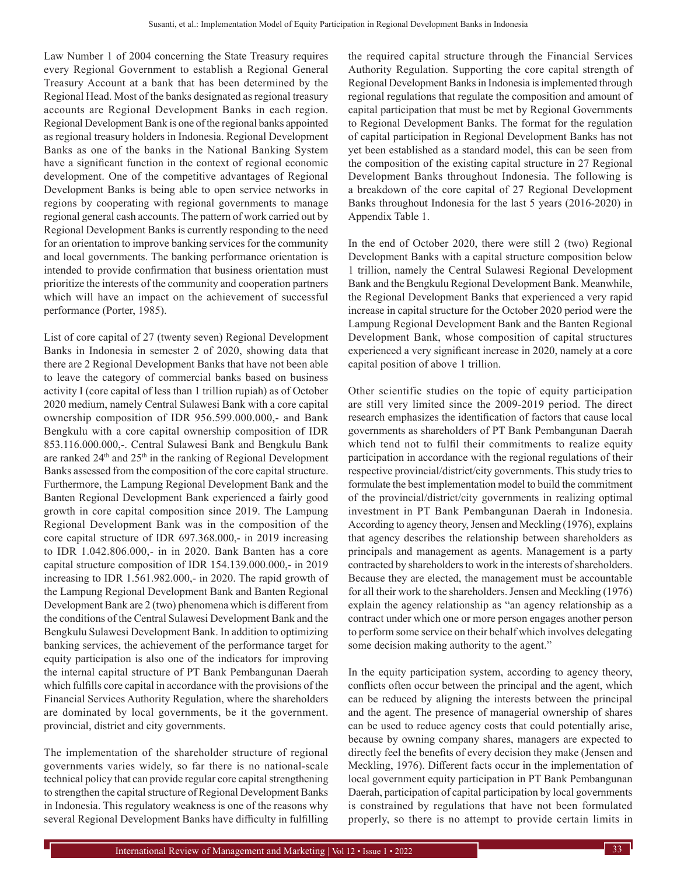Law Number 1 of 2004 concerning the State Treasury requires every Regional Government to establish a Regional General Treasury Account at a bank that has been determined by the Regional Head. Most of the banks designated as regional treasury accounts are Regional Development Banks in each region. Regional Development Bank is one of the regional banks appointed as regional treasury holders in Indonesia. Regional Development Banks as one of the banks in the National Banking System have a significant function in the context of regional economic development. One of the competitive advantages of Regional Development Banks is being able to open service networks in regions by cooperating with regional governments to manage regional general cash accounts. The pattern of work carried out by Regional Development Banks is currently responding to the need for an orientation to improve banking services for the community and local governments. The banking performance orientation is intended to provide confirmation that business orientation must prioritize the interests of the community and cooperation partners which will have an impact on the achievement of successful performance (Porter, 1985).

List of core capital of 27 (twenty seven) Regional Development Banks in Indonesia in semester 2 of 2020, showing data that there are 2 Regional Development Banks that have not been able to leave the category of commercial banks based on business activity I (core capital of less than 1 trillion rupiah) as of October 2020 medium, namely Central Sulawesi Bank with a core capital ownership composition of IDR 956.599.000.000,- and Bank Bengkulu with a core capital ownership composition of IDR 853.116.000.000,-. Central Sulawesi Bank and Bengkulu Bank are ranked  $24<sup>th</sup>$  and  $25<sup>th</sup>$  in the ranking of Regional Development Banks assessed from the composition of the core capital structure. Furthermore, the Lampung Regional Development Bank and the Banten Regional Development Bank experienced a fairly good growth in core capital composition since 2019. The Lampung Regional Development Bank was in the composition of the core capital structure of IDR 697.368.000,- in 2019 increasing to IDR 1.042.806.000,- in in 2020. Bank Banten has a core capital structure composition of IDR 154.139.000.000,- in 2019 increasing to IDR 1.561.982.000,- in 2020. The rapid growth of the Lampung Regional Development Bank and Banten Regional Development Bank are 2 (two) phenomena which is different from the conditions of the Central Sulawesi Development Bank and the Bengkulu Sulawesi Development Bank. In addition to optimizing banking services, the achievement of the performance target for equity participation is also one of the indicators for improving the internal capital structure of PT Bank Pembangunan Daerah which fulfills core capital in accordance with the provisions of the Financial Services Authority Regulation, where the shareholders are dominated by local governments, be it the government. provincial, district and city governments.

The implementation of the shareholder structure of regional governments varies widely, so far there is no national-scale technical policy that can provide regular core capital strengthening to strengthen the capital structure of Regional Development Banks in Indonesia. This regulatory weakness is one of the reasons why several Regional Development Banks have difficulty in fulfilling the required capital structure through the Financial Services Authority Regulation. Supporting the core capital strength of Regional Development Banks in Indonesia is implemented through regional regulations that regulate the composition and amount of capital participation that must be met by Regional Governments to Regional Development Banks. The format for the regulation of capital participation in Regional Development Banks has not yet been established as a standard model, this can be seen from the composition of the existing capital structure in 27 Regional Development Banks throughout Indonesia. The following is a breakdown of the core capital of 27 Regional Development Banks throughout Indonesia for the last 5 years (2016-2020) in Appendix Table 1.

In the end of October 2020, there were still 2 (two) Regional Development Banks with a capital structure composition below 1 trillion, namely the Central Sulawesi Regional Development Bank and the Bengkulu Regional Development Bank. Meanwhile, the Regional Development Banks that experienced a very rapid increase in capital structure for the October 2020 period were the Lampung Regional Development Bank and the Banten Regional Development Bank, whose composition of capital structures experienced a very significant increase in 2020, namely at a core capital position of above 1 trillion.

Other scientific studies on the topic of equity participation are still very limited since the 2009-2019 period. The direct research emphasizes the identification of factors that cause local governments as shareholders of PT Bank Pembangunan Daerah which tend not to fulfil their commitments to realize equity participation in accordance with the regional regulations of their respective provincial/district/city governments. This study tries to formulate the best implementation model to build the commitment of the provincial/district/city governments in realizing optimal investment in PT Bank Pembangunan Daerah in Indonesia. According to agency theory, Jensen and Meckling (1976), explains that agency describes the relationship between shareholders as principals and management as agents. Management is a party contracted by shareholders to work in the interests of shareholders. Because they are elected, the management must be accountable for all their work to the shareholders. Jensen and Meckling (1976) explain the agency relationship as "an agency relationship as a contract under which one or more person engages another person to perform some service on their behalf which involves delegating some decision making authority to the agent."

In the equity participation system, according to agency theory, conflicts often occur between the principal and the agent, which can be reduced by aligning the interests between the principal and the agent. The presence of managerial ownership of shares can be used to reduce agency costs that could potentially arise, because by owning company shares, managers are expected to directly feel the benefits of every decision they make (Jensen and Meckling, 1976). Different facts occur in the implementation of local government equity participation in PT Bank Pembangunan Daerah, participation of capital participation by local governments is constrained by regulations that have not been formulated properly, so there is no attempt to provide certain limits in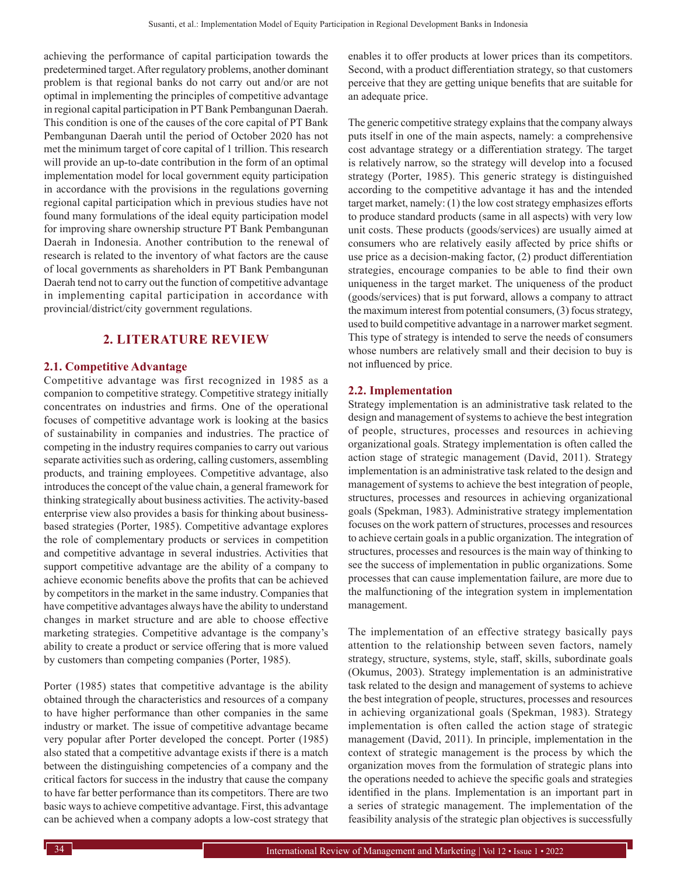achieving the performance of capital participation towards the predetermined target. After regulatory problems, another dominant problem is that regional banks do not carry out and/or are not optimal in implementing the principles of competitive advantage in regional capital participation in PT Bank Pembangunan Daerah. This condition is one of the causes of the core capital of PT Bank Pembangunan Daerah until the period of October 2020 has not met the minimum target of core capital of 1 trillion. This research will provide an up-to-date contribution in the form of an optimal implementation model for local government equity participation in accordance with the provisions in the regulations governing regional capital participation which in previous studies have not found many formulations of the ideal equity participation model for improving share ownership structure PT Bank Pembangunan Daerah in Indonesia. Another contribution to the renewal of research is related to the inventory of what factors are the cause of local governments as shareholders in PT Bank Pembangunan Daerah tend not to carry out the function of competitive advantage in implementing capital participation in accordance with provincial/district/city government regulations.

# **2. LITERATURE REVIEW**

## **2.1. Competitive Advantage**

Competitive advantage was first recognized in 1985 as a companion to competitive strategy. Competitive strategy initially concentrates on industries and firms. One of the operational focuses of competitive advantage work is looking at the basics of sustainability in companies and industries. The practice of competing in the industry requires companies to carry out various separate activities such as ordering, calling customers, assembling products, and training employees. Competitive advantage, also introduces the concept of the value chain, a general framework for thinking strategically about business activities. The activity-based enterprise view also provides a basis for thinking about businessbased strategies (Porter, 1985). Competitive advantage explores the role of complementary products or services in competition and competitive advantage in several industries. Activities that support competitive advantage are the ability of a company to achieve economic benefits above the profits that can be achieved by competitors in the market in the same industry. Companies that have competitive advantages always have the ability to understand changes in market structure and are able to choose effective marketing strategies. Competitive advantage is the company's ability to create a product or service offering that is more valued by customers than competing companies (Porter, 1985).

Porter (1985) states that competitive advantage is the ability obtained through the characteristics and resources of a company to have higher performance than other companies in the same industry or market. The issue of competitive advantage became very popular after Porter developed the concept. Porter (1985) also stated that a competitive advantage exists if there is a match between the distinguishing competencies of a company and the critical factors for success in the industry that cause the company to have far better performance than its competitors. There are two basic ways to achieve competitive advantage. First, this advantage can be achieved when a company adopts a low-cost strategy that enables it to offer products at lower prices than its competitors. Second, with a product differentiation strategy, so that customers perceive that they are getting unique benefits that are suitable for an adequate price.

The generic competitive strategy explains that the company always puts itself in one of the main aspects, namely: a comprehensive cost advantage strategy or a differentiation strategy. The target is relatively narrow, so the strategy will develop into a focused strategy (Porter, 1985). This generic strategy is distinguished according to the competitive advantage it has and the intended target market, namely: (1) the low cost strategy emphasizes efforts to produce standard products (same in all aspects) with very low unit costs. These products (goods/services) are usually aimed at consumers who are relatively easily affected by price shifts or use price as a decision-making factor, (2) product differentiation strategies, encourage companies to be able to find their own uniqueness in the target market. The uniqueness of the product (goods/services) that is put forward, allows a company to attract the maximum interest from potential consumers, (3) focus strategy, used to build competitive advantage in a narrower market segment. This type of strategy is intended to serve the needs of consumers whose numbers are relatively small and their decision to buy is not influenced by price.

#### **2.2. Implementation**

Strategy implementation is an administrative task related to the design and management of systems to achieve the best integration of people, structures, processes and resources in achieving organizational goals. Strategy implementation is often called the action stage of strategic management (David, 2011). Strategy implementation is an administrative task related to the design and management of systems to achieve the best integration of people, structures, processes and resources in achieving organizational goals (Spekman, 1983). Administrative strategy implementation focuses on the work pattern of structures, processes and resources to achieve certain goals in a public organization. The integration of structures, processes and resources is the main way of thinking to see the success of implementation in public organizations. Some processes that can cause implementation failure, are more due to the malfunctioning of the integration system in implementation management.

The implementation of an effective strategy basically pays attention to the relationship between seven factors, namely strategy, structure, systems, style, staff, skills, subordinate goals (Okumus, 2003). Strategy implementation is an administrative task related to the design and management of systems to achieve the best integration of people, structures, processes and resources in achieving organizational goals (Spekman, 1983). Strategy implementation is often called the action stage of strategic management (David, 2011). In principle, implementation in the context of strategic management is the process by which the organization moves from the formulation of strategic plans into the operations needed to achieve the specific goals and strategies identified in the plans. Implementation is an important part in a series of strategic management. The implementation of the feasibility analysis of the strategic plan objectives is successfully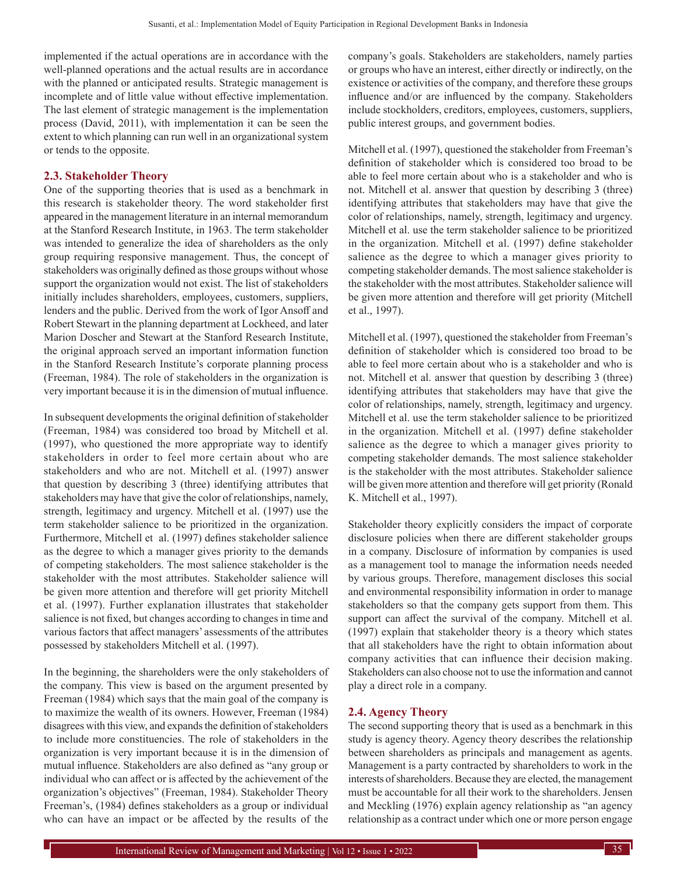implemented if the actual operations are in accordance with the well-planned operations and the actual results are in accordance with the planned or anticipated results. Strategic management is incomplete and of little value without effective implementation. The last element of strategic management is the implementation process (David, 2011), with implementation it can be seen the extent to which planning can run well in an organizational system or tends to the opposite.

#### **2.3. Stakeholder Theory**

One of the supporting theories that is used as a benchmark in this research is stakeholder theory. The word stakeholder first appeared in the management literature in an internal memorandum at the Stanford Research Institute, in 1963. The term stakeholder was intended to generalize the idea of shareholders as the only group requiring responsive management. Thus, the concept of stakeholders was originally defined as those groups without whose support the organization would not exist. The list of stakeholders initially includes shareholders, employees, customers, suppliers, lenders and the public. Derived from the work of Igor Ansoff and Robert Stewart in the planning department at Lockheed, and later Marion Doscher and Stewart at the Stanford Research Institute, the original approach served an important information function in the Stanford Research Institute's corporate planning process (Freeman, 1984). The role of stakeholders in the organization is very important because it is in the dimension of mutual influence.

In subsequent developments the original definition of stakeholder (Freeman, 1984) was considered too broad by Mitchell et al. (1997), who questioned the more appropriate way to identify stakeholders in order to feel more certain about who are stakeholders and who are not. Mitchell et al. (1997) answer that question by describing 3 (three) identifying attributes that stakeholders may have that give the color of relationships, namely, strength, legitimacy and urgency. Mitchell et al. (1997) use the term stakeholder salience to be prioritized in the organization. Furthermore, Mitchell et al. (1997) defines stakeholder salience as the degree to which a manager gives priority to the demands of competing stakeholders. The most salience stakeholder is the stakeholder with the most attributes. Stakeholder salience will be given more attention and therefore will get priority Mitchell et al. (1997). Further explanation illustrates that stakeholder salience is not fixed, but changes according to changes in time and various factors that affect managers' assessments of the attributes possessed by stakeholders Mitchell et al. (1997).

In the beginning, the shareholders were the only stakeholders of the company. This view is based on the argument presented by Freeman (1984) which says that the main goal of the company is to maximize the wealth of its owners. However, Freeman (1984) disagrees with this view, and expands the definition of stakeholders to include more constituencies. The role of stakeholders in the organization is very important because it is in the dimension of mutual influence. Stakeholders are also defined as "any group or individual who can affect or is affected by the achievement of the organization's objectives" (Freeman, 1984). Stakeholder Theory Freeman's, (1984) defines stakeholders as a group or individual who can have an impact or be affected by the results of the

company's goals. Stakeholders are stakeholders, namely parties or groups who have an interest, either directly or indirectly, on the existence or activities of the company, and therefore these groups influence and/or are influenced by the company. Stakeholders include stockholders, creditors, employees, customers, suppliers, public interest groups, and government bodies.

Mitchell et al. (1997), questioned the stakeholder from Freeman's definition of stakeholder which is considered too broad to be able to feel more certain about who is a stakeholder and who is not. Mitchell et al. answer that question by describing 3 (three) identifying attributes that stakeholders may have that give the color of relationships, namely, strength, legitimacy and urgency. Mitchell et al. use the term stakeholder salience to be prioritized in the organization. Mitchell et al. (1997) define stakeholder salience as the degree to which a manager gives priority to competing stakeholder demands. The most salience stakeholder is the stakeholder with the most attributes. Stakeholder salience will be given more attention and therefore will get priority (Mitchell et al., 1997).

Mitchell et al. (1997), questioned the stakeholder from Freeman's definition of stakeholder which is considered too broad to be able to feel more certain about who is a stakeholder and who is not. Mitchell et al. answer that question by describing 3 (three) identifying attributes that stakeholders may have that give the color of relationships, namely, strength, legitimacy and urgency. Mitchell et al. use the term stakeholder salience to be prioritized in the organization. Mitchell et al. (1997) define stakeholder salience as the degree to which a manager gives priority to competing stakeholder demands. The most salience stakeholder is the stakeholder with the most attributes. Stakeholder salience will be given more attention and therefore will get priority (Ronald K. Mitchell et al., 1997).

Stakeholder theory explicitly considers the impact of corporate disclosure policies when there are different stakeholder groups in a company. Disclosure of information by companies is used as a management tool to manage the information needs needed by various groups. Therefore, management discloses this social and environmental responsibility information in order to manage stakeholders so that the company gets support from them. This support can affect the survival of the company. Mitchell et al. (1997) explain that stakeholder theory is a theory which states that all stakeholders have the right to obtain information about company activities that can influence their decision making. Stakeholders can also choose not to use the information and cannot play a direct role in a company.

#### **2.4. Agency Theory**

The second supporting theory that is used as a benchmark in this study is agency theory. Agency theory describes the relationship between shareholders as principals and management as agents. Management is a party contracted by shareholders to work in the interests of shareholders. Because they are elected, the management must be accountable for all their work to the shareholders. Jensen and Meckling (1976) explain agency relationship as "an agency relationship as a contract under which one or more person engage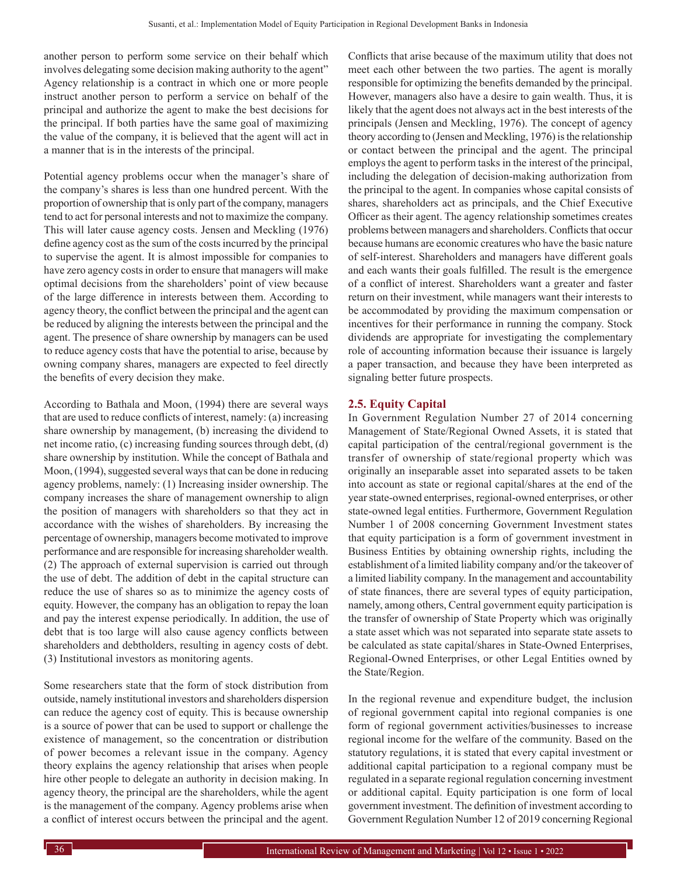another person to perform some service on their behalf which involves delegating some decision making authority to the agent" Agency relationship is a contract in which one or more people instruct another person to perform a service on behalf of the principal and authorize the agent to make the best decisions for the principal. If both parties have the same goal of maximizing the value of the company, it is believed that the agent will act in a manner that is in the interests of the principal.

Potential agency problems occur when the manager's share of the company's shares is less than one hundred percent. With the proportion of ownership that is only part of the company, managers tend to act for personal interests and not to maximize the company. This will later cause agency costs. Jensen and Meckling (1976) define agency cost as the sum of the costs incurred by the principal to supervise the agent. It is almost impossible for companies to have zero agency costs in order to ensure that managers will make optimal decisions from the shareholders' point of view because of the large difference in interests between them. According to agency theory, the conflict between the principal and the agent can be reduced by aligning the interests between the principal and the agent. The presence of share ownership by managers can be used to reduce agency costs that have the potential to arise, because by owning company shares, managers are expected to feel directly the benefits of every decision they make.

According to Bathala and Moon, (1994) there are several ways that are used to reduce conflicts of interest, namely: (a) increasing share ownership by management, (b) increasing the dividend to net income ratio, (c) increasing funding sources through debt, (d) share ownership by institution. While the concept of Bathala and Moon, (1994), suggested several ways that can be done in reducing agency problems, namely: (1) Increasing insider ownership. The company increases the share of management ownership to align the position of managers with shareholders so that they act in accordance with the wishes of shareholders. By increasing the percentage of ownership, managers become motivated to improve performance and are responsible for increasing shareholder wealth. (2) The approach of external supervision is carried out through the use of debt. The addition of debt in the capital structure can reduce the use of shares so as to minimize the agency costs of equity. However, the company has an obligation to repay the loan and pay the interest expense periodically. In addition, the use of debt that is too large will also cause agency conflicts between shareholders and debtholders, resulting in agency costs of debt. (3) Institutional investors as monitoring agents.

Some researchers state that the form of stock distribution from outside, namely institutional investors and shareholders dispersion can reduce the agency cost of equity. This is because ownership is a source of power that can be used to support or challenge the existence of management, so the concentration or distribution of power becomes a relevant issue in the company. Agency theory explains the agency relationship that arises when people hire other people to delegate an authority in decision making. In agency theory, the principal are the shareholders, while the agent is the management of the company. Agency problems arise when a conflict of interest occurs between the principal and the agent. Conflicts that arise because of the maximum utility that does not meet each other between the two parties. The agent is morally responsible for optimizing the benefits demanded by the principal. However, managers also have a desire to gain wealth. Thus, it is likely that the agent does not always act in the best interests of the principals (Jensen and Meckling, 1976). The concept of agency theory according to (Jensen and Meckling, 1976) is the relationship or contact between the principal and the agent. The principal employs the agent to perform tasks in the interest of the principal, including the delegation of decision-making authorization from the principal to the agent. In companies whose capital consists of shares, shareholders act as principals, and the Chief Executive Officer as their agent. The agency relationship sometimes creates problems between managers and shareholders. Conflicts that occur because humans are economic creatures who have the basic nature of self-interest. Shareholders and managers have different goals and each wants their goals fulfilled. The result is the emergence of a conflict of interest. Shareholders want a greater and faster return on their investment, while managers want their interests to be accommodated by providing the maximum compensation or incentives for their performance in running the company. Stock dividends are appropriate for investigating the complementary role of accounting information because their issuance is largely a paper transaction, and because they have been interpreted as signaling better future prospects.

#### **2.5. Equity Capital**

In Government Regulation Number 27 of 2014 concerning Management of State/Regional Owned Assets, it is stated that capital participation of the central/regional government is the transfer of ownership of state/regional property which was originally an inseparable asset into separated assets to be taken into account as state or regional capital/shares at the end of the year state-owned enterprises, regional-owned enterprises, or other state-owned legal entities. Furthermore, Government Regulation Number 1 of 2008 concerning Government Investment states that equity participation is a form of government investment in Business Entities by obtaining ownership rights, including the establishment of a limited liability company and/or the takeover of a limited liability company. In the management and accountability of state finances, there are several types of equity participation, namely, among others, Central government equity participation is the transfer of ownership of State Property which was originally a state asset which was not separated into separate state assets to be calculated as state capital/shares in State-Owned Enterprises, Regional-Owned Enterprises, or other Legal Entities owned by the State/Region.

In the regional revenue and expenditure budget, the inclusion of regional government capital into regional companies is one form of regional government activities/businesses to increase regional income for the welfare of the community. Based on the statutory regulations, it is stated that every capital investment or additional capital participation to a regional company must be regulated in a separate regional regulation concerning investment or additional capital. Equity participation is one form of local government investment. The definition of investment according to Government Regulation Number 12 of 2019 concerning Regional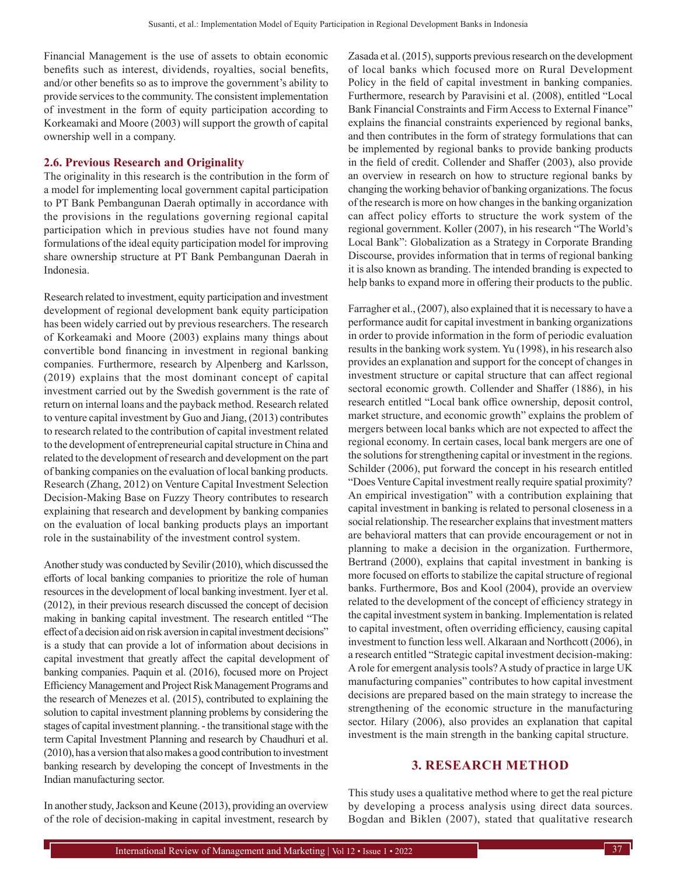Financial Management is the use of assets to obtain economic benefits such as interest, dividends, royalties, social benefits, and/or other benefits so as to improve the government's ability to provide services to the community. The consistent implementation of investment in the form of equity participation according to Korkeamaki and Moore (2003) will support the growth of capital ownership well in a company.

#### **2.6. Previous Research and Originality**

The originality in this research is the contribution in the form of a model for implementing local government capital participation to PT Bank Pembangunan Daerah optimally in accordance with the provisions in the regulations governing regional capital participation which in previous studies have not found many formulations of the ideal equity participation model for improving share ownership structure at PT Bank Pembangunan Daerah in Indonesia.

Research related to investment, equity participation and investment development of regional development bank equity participation has been widely carried out by previous researchers. The research of Korkeamaki and Moore (2003) explains many things about convertible bond financing in investment in regional banking companies. Furthermore, research by Alpenberg and Karlsson, (2019) explains that the most dominant concept of capital investment carried out by the Swedish government is the rate of return on internal loans and the payback method. Research related to venture capital investment by Guo and Jiang, (2013) contributes to research related to the contribution of capital investment related to the development of entrepreneurial capital structure in China and related to the development of research and development on the part of banking companies on the evaluation of local banking products. Research (Zhang, 2012) on Venture Capital Investment Selection Decision-Making Base on Fuzzy Theory contributes to research explaining that research and development by banking companies on the evaluation of local banking products plays an important role in the sustainability of the investment control system.

Another study was conducted by Sevilir (2010), which discussed the efforts of local banking companies to prioritize the role of human resources in the development of local banking investment. Iyer et al. (2012), in their previous research discussed the concept of decision making in banking capital investment. The research entitled "The effect of a decision aid on risk aversion in capital investment decisions" is a study that can provide a lot of information about decisions in capital investment that greatly affect the capital development of banking companies. Paquin et al. (2016), focused more on Project Efficiency Management and Project Risk Management Programs and the research of Menezes et al. (2015), contributed to explaining the solution to capital investment planning problems by considering the stages of capital investment planning.-the transitional stage with the term Capital Investment Planning and research by Chaudhuri et al. (2010), has a version that also makes a good contribution to investment banking research by developing the concept of Investments in the Indian manufacturing sector.

In another study, Jackson and Keune (2013), providing an overview of the role of decision-making in capital investment, research by Zasada et al. (2015), supports previous research on the development of local banks which focused more on Rural Development Policy in the field of capital investment in banking companies. Furthermore, research by Paravisini et al. (2008), entitled "Local Bank Financial Constraints and Firm Access to External Finance" explains the financial constraints experienced by regional banks, and then contributes in the form of strategy formulations that can be implemented by regional banks to provide banking products in the field of credit. Collender and Shaffer (2003), also provide an overview in research on how to structure regional banks by changing the working behavior of banking organizations. The focus of the research is more on how changes in the banking organization can affect policy efforts to structure the work system of the regional government. Koller (2007), in his research "The World's Local Bank": Globalization as a Strategy in Corporate Branding Discourse, provides information that in terms of regional banking it is also known as branding. The intended branding is expected to help banks to expand more in offering their products to the public.

Farragher et al., (2007), also explained that it is necessary to have a performance audit for capital investment in banking organizations in order to provide information in the form of periodic evaluation results in the banking work system. Yu (1998), in his research also provides an explanation and support for the concept of changes in investment structure or capital structure that can affect regional sectoral economic growth. Collender and Shaffer (1886), in his research entitled "Local bank office ownership, deposit control, market structure, and economic growth" explains the problem of mergers between local banks which are not expected to affect the regional economy. In certain cases, local bank mergers are one of the solutions for strengthening capital or investment in the regions. Schilder (2006), put forward the concept in his research entitled "Does Venture Capital investment really require spatial proximity? An empirical investigation" with a contribution explaining that capital investment in banking is related to personal closeness in a social relationship. The researcher explains that investment matters are behavioral matters that can provide encouragement or not in planning to make a decision in the organization. Furthermore, Bertrand (2000), explains that capital investment in banking is more focused on efforts to stabilize the capital structure of regional banks. Furthermore, Bos and Kool (2004), provide an overview related to the development of the concept of efficiency strategy in the capital investment system in banking. Implementation is related to capital investment, often overriding efficiency, causing capital investment to function less well. Alkaraan and Northcott (2006), in a research entitled "Strategic capital investment decision-making: Arole for emergent analysis tools? A study of practice in large UK manufacturing companies" contributes to how capital investment decisions are prepared based on the main strategy to increase the strengthening of the economic structure in the manufacturing sector. Hilary (2006), also provides an explanation that capital investment is the main strength in the banking capital structure.

# **3. RESEARCH METHOD**

This study uses a qualitative method where to get the real picture by developing a process analysis using direct data sources. Bogdan and Biklen (2007), stated that qualitative research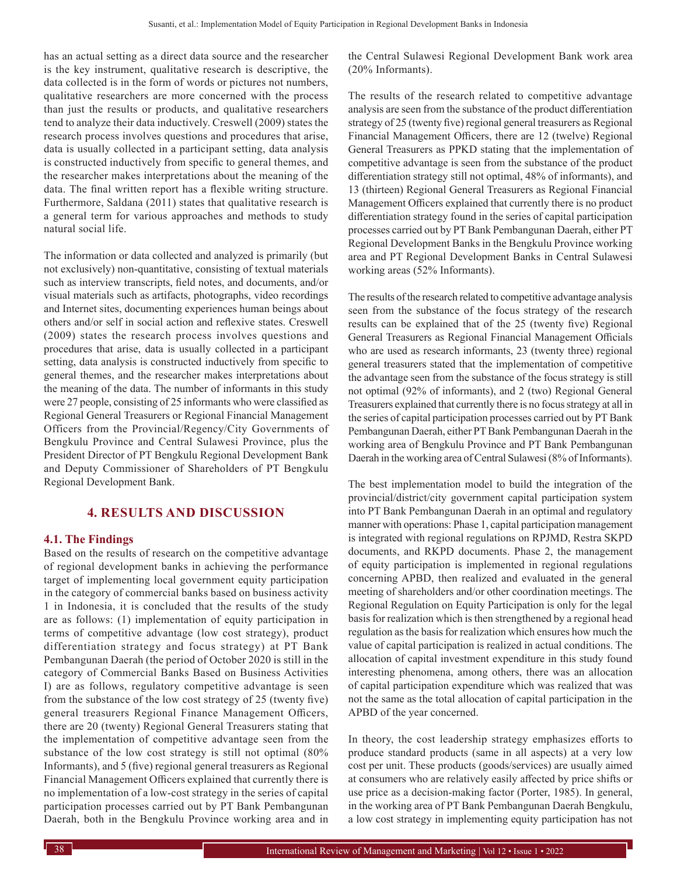has an actual setting as a direct data source and the researcher is the key instrument, qualitative research is descriptive, the data collected is in the form of words or pictures not numbers, qualitative researchers are more concerned with the process than just the results or products, and qualitative researchers tend to analyze their data inductively. Creswell (2009) states the research process involves questions and procedures that arise, data is usually collected in a participant setting, data analysis is constructed inductively from specific to general themes, and the researcher makes interpretations about the meaning of the data. The final written report has a flexible writing structure. Furthermore, Saldana (2011) states that qualitative research is a general term for various approaches and methods to study natural social life.

The information or data collected and analyzed is primarily (but not exclusively) non-quantitative, consisting of textual materials such as interview transcripts, field notes, and documents, and/or visual materials such as artifacts, photographs, video recordings and Internet sites, documenting experiences human beings about others and/or self in social action and reflexive states. Creswell (2009) states the research process involves questions and procedures that arise, data is usually collected in a participant setting, data analysis is constructed inductively from specific to general themes, and the researcher makes interpretations about the meaning of the data. The number of informants in this study were 27 people, consisting of 25 informants who were classified as Regional General Treasurers or Regional Financial Management Officers from the Provincial/Regency/City Governments of Bengkulu Province and Central Sulawesi Province, plus the President Director of PT Bengkulu Regional Development Bank and Deputy Commissioner of Shareholders of PT Bengkulu Regional Development Bank.

## **4. RESULTS AND DISCUSSION**

#### **4.1. The Findings**

Based on the results of research on the competitive advantage of regional development banks in achieving the performance target of implementing local government equity participation in the category of commercial banks based on business activity 1 in Indonesia, it is concluded that the results of the study are as follows: (1) implementation of equity participation in terms of competitive advantage (low cost strategy), product differentiation strategy and focus strategy) at PT Bank Pembangunan Daerah (the period of October 2020 is still in the category of Commercial Banks Based on Business Activities I) are as follows, regulatory competitive advantage is seen from the substance of the low cost strategy of 25 (twenty five) general treasurers Regional Finance Management Officers, there are 20 (twenty) Regional General Treasurers stating that the implementation of competitive advantage seen from the substance of the low cost strategy is still not optimal (80% Informants), and 5 (five) regional general treasurers as Regional Financial Management Officers explained that currently there is no implementation of a low-cost strategy in the series of capital participation processes carried out by PT Bank Pembangunan Daerah, both in the Bengkulu Province working area and in the Central Sulawesi Regional Development Bank work area (20% Informants).

The results of the research related to competitive advantage analysis are seen from the substance of the product differentiation strategy of 25 (twenty five) regional general treasurers as Regional Financial Management Officers, there are 12 (twelve) Regional General Treasurers as PPKD stating that the implementation of competitive advantage is seen from the substance of the product differentiation strategy still not optimal, 48% of informants), and 13 (thirteen) Regional General Treasurers as Regional Financial Management Officers explained that currently there is no product differentiation strategy found in the series of capital participation processes carried out by PT Bank Pembangunan Daerah, either PT Regional Development Banks in the Bengkulu Province working area and PT Regional Development Banks in Central Sulawesi working areas (52% Informants).

The results of the research related to competitive advantage analysis seen from the substance of the focus strategy of the research results can be explained that of the 25 (twenty five) Regional General Treasurers as Regional Financial Management Officials who are used as research informants, 23 (twenty three) regional general treasurers stated that the implementation of competitive the advantage seen from the substance of the focus strategy is still not optimal (92% of informants), and 2 (two) Regional General Treasurers explained that currently there is no focus strategy at all in the series of capital participation processes carried out by PT Bank Pembangunan Daerah, either PT Bank Pembangunan Daerah in the working area of Bengkulu Province and PT Bank Pembangunan Daerah in the working area of Central Sulawesi (8% of Informants).

The best implementation model to build the integration of the provincial/district/city government capital participation system into PT Bank Pembangunan Daerah in an optimal and regulatory manner with operations: Phase 1, capital participation management is integrated with regional regulations on RPJMD, Restra SKPD documents, and RKPD documents. Phase 2, the management of equity participation is implemented in regional regulations concerning APBD, then realized and evaluated in the general meeting of shareholders and/or other coordination meetings. The Regional Regulation on Equity Participation is only for the legal basis for realization which is then strengthened by a regional head regulation as the basis for realization which ensures how much the value of capital participation is realized in actual conditions. The allocation of capital investment expenditure in this study found interesting phenomena, among others, there was an allocation of capital participation expenditure which was realized that was not the same as the total allocation of capital participation in the APBD of the year concerned.

In theory, the cost leadership strategy emphasizes efforts to produce standard products (same in all aspects) at a very low cost per unit. These products (goods/services) are usually aimed at consumers who are relatively easily affected by price shifts or use price as a decision-making factor (Porter, 1985). In general, in the working area of PT Bank Pembangunan Daerah Bengkulu, a low cost strategy in implementing equity participation has not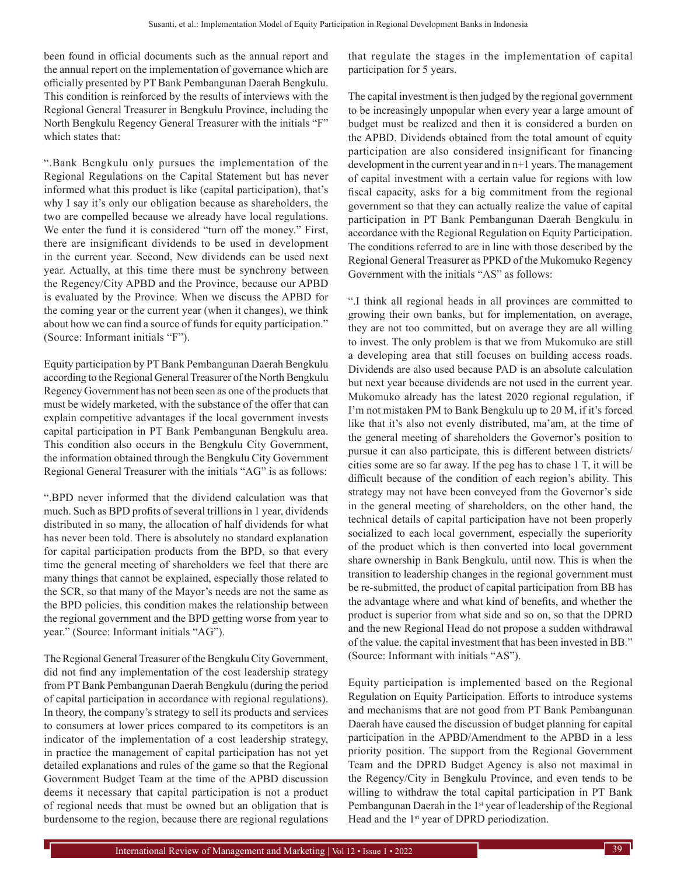been found in official documents such as the annual report and the annual report on the implementation of governance which are officially presented by PT Bank Pembangunan Daerah Bengkulu. This condition is reinforced by the results of interviews with the Regional General Treasurer in Bengkulu Province, including the North Bengkulu Regency General Treasurer with the initials "F" which states that:

".Bank Bengkulu only pursues the implementation of the Regional Regulations on the Capital Statement but has never informed what this product is like (capital participation), that's why I say it's only our obligation because as shareholders, the two are compelled because we already have local regulations. We enter the fund it is considered "turn off the money." First, there are insignificant dividends to be used in development in the current year. Second, New dividends can be used next year. Actually, at this time there must be synchrony between the Regency/City APBD and the Province, because our APBD is evaluated by the Province. When we discuss the APBD for the coming year or the current year (when it changes), we think about how we can find a source of funds for equity participation." (Source: Informant initials "F").

Equity participation by PT Bank Pembangunan Daerah Bengkulu according to the Regional General Treasurer of the North Bengkulu Regency Government has not been seen as one of the products that must be widely marketed, with the substance of the offer that can explain competitive advantages if the local government invests capital participation in PT Bank Pembangunan Bengkulu area. This condition also occurs in the Bengkulu City Government, the information obtained through the Bengkulu City Government Regional General Treasurer with the initials "AG" is as follows:

".BPD never informed that the dividend calculation was that much. Such as BPD profits of several trillions in 1 year, dividends distributed in so many, the allocation of half dividends for what has never been told. There is absolutely no standard explanation for capital participation products from the BPD, so that every time the general meeting of shareholders we feel that there are many things that cannot be explained, especially those related to the SCR, so that many of the Mayor's needs are not the same as the BPD policies, this condition makes the relationship between the regional government and the BPD getting worse from year to year." (Source: Informant initials "AG").

The Regional General Treasurer of the Bengkulu City Government, did not find any implementation of the cost leadership strategy from PT Bank Pembangunan Daerah Bengkulu (during the period of capital participation in accordance with regional regulations). In theory, the company's strategy to sell its products and services to consumers at lower prices compared to its competitors is an indicator of the implementation of a cost leadership strategy, in practice the management of capital participation has not yet detailed explanations and rules of the game so that the Regional Government Budget Team at the time of the APBD discussion deems it necessary that capital participation is not a product of regional needs that must be owned but an obligation that is burdensome to the region, because there are regional regulations that regulate the stages in the implementation of capital participation for 5 years.

The capital investment is then judged by the regional government to be increasingly unpopular when every year a large amount of budget must be realized and then it is considered a burden on the APBD. Dividends obtained from the total amount of equity participation are also considered insignificant for financing development in the current year and in n+1 years. The management of capital investment with a certain value for regions with low fiscal capacity, asks for a big commitment from the regional government so that they can actually realize the value of capital participation in PT Bank Pembangunan Daerah Bengkulu in accordance with the Regional Regulation on Equity Participation. The conditions referred to are in line with those described by the Regional General Treasurer as PPKD of the Mukomuko Regency Government with the initials "AS" as follows:

".I think all regional heads in all provinces are committed to growing their own banks, but for implementation, on average, they are not too committed, but on average they are all willing to invest. The only problem is that we from Mukomuko are still a developing area that still focuses on building access roads. Dividends are also used because PAD is an absolute calculation but next year because dividends are not used in the current year. Mukomuko already has the latest 2020 regional regulation, if I'm not mistaken PM to Bank Bengkulu up to 20 M, if it's forced like that it's also not evenly distributed, ma'am, at the time of the general meeting of shareholders the Governor's position to pursue it can also participate, this is different between districts/ cities some are so far away. If the peg has to chase 1 T, it will be difficult because of the condition of each region's ability. This strategy may not have been conveyed from the Governor's side in the general meeting of shareholders, on the other hand, the technical details of capital participation have not been properly socialized to each local government, especially the superiority of the product which is then converted into local government share ownership in Bank Bengkulu, until now. This is when the transition to leadership changes in the regional government must be re-submitted, the product of capital participation from BB has the advantage where and what kind of benefits, and whether the product is superior from what side and so on, so that the DPRD and the new Regional Head do not propose a sudden withdrawal of the value. the capital investment that has been invested in BB." (Source: Informant with initials "AS").

Equity participation is implemented based on the Regional Regulation on Equity Participation. Efforts to introduce systems and mechanisms that are not good from PT Bank Pembangunan Daerah have caused the discussion of budget planning for capital participation in the APBD/Amendment to the APBD in a less priority position. The support from the Regional Government Team and the DPRD Budget Agency is also not maximal in the Regency/City in Bengkulu Province, and even tends to be willing to withdraw the total capital participation in PT Bank Pembangunan Daerah in the 1<sup>st</sup> year of leadership of the Regional Head and the 1<sup>st</sup> year of DPRD periodization.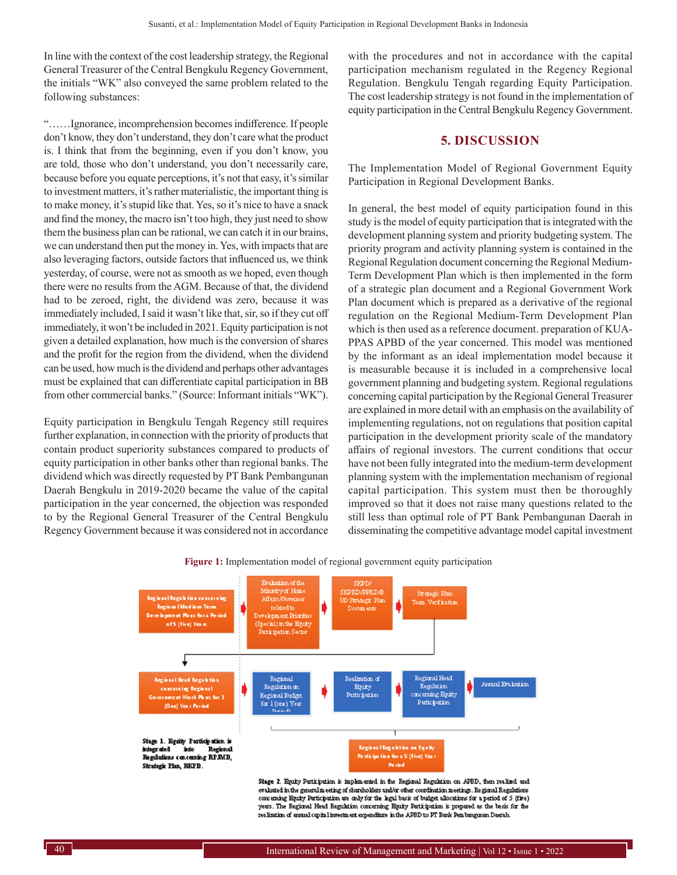In line with the context of the cost leadership strategy, the Regional General Treasurer of the Central Bengkulu Regency Government, the initials "WK" also conveyed the same problem related to the following substances:

"……Ignorance, incomprehension becomes indifference. If people don't know, they don't understand, they don't care what the product is. I think that from the beginning, even if you don't know, you are told, those who don't understand, you don't necessarily care, because before you equate perceptions, it's not that easy, it's similar to investment matters, it's rather materialistic, the important thing is to make money, it's stupid like that. Yes, so it's nice to have a snack and find the money, the macro isn't too high, they just need to show them the business plan can be rational, we can catch it in our brains, we can understand then put the money in. Yes, with impacts that are also leveraging factors, outside factors that influenced us, we think yesterday, of course, were not as smooth as we hoped, even though there were no results from the AGM. Because of that, the dividend had to be zeroed, right, the dividend was zero, because it was immediately included, I said it wasn't like that, sir, so if they cut off immediately, it won't be included in 2021. Equity participation is not given a detailed explanation, how much is the conversion of shares and the profit for the region from the dividend, when the dividend can be used, how much is the dividend and perhaps other advantages must be explained that can differentiate capital participation in BB from other commercial banks." (Source: Informant initials "WK").

Equity participation in Bengkulu Tengah Regency still requires further explanation, in connection with the priority of products that contain product superiority substances compared to products of equity participation in other banks other than regional banks. The dividend which was directly requested by PT Bank Pembangunan Daerah Bengkulu in 2019-2020 became the value of the capital participation in the year concerned, the objection was responded to by the Regional General Treasurer of the Central Bengkulu Regency Government because it was considered not in accordance with the procedures and not in accordance with the capital participation mechanism regulated in the Regency Regional Regulation. Bengkulu Tengah regarding Equity Participation. The cost leadership strategy is not found in the implementation of equity participation in the Central Bengkulu Regency Government.

# **5. DISCUSSION**

The Implementation Model of Regional Government Equity Participation in Regional Development Banks.

In general, the best model of equity participation found in this study is the model of equity participation that is integrated with the development planning system and priority budgeting system. The priority program and activity planning system is contained in the Regional Regulation document concerning the Regional Medium-Term Development Plan which is then implemented in the form of a strategic plan document and a Regional Government Work Plan document which is prepared as a derivative of the regional regulation on the Regional Medium-Term Development Plan which is then used as a reference document. preparation of KUA-PPAS APBD of the year concerned. This model was mentioned by the informant as an ideal implementation model because it is measurable because it is included in a comprehensive local government planning and budgeting system. Regional regulations concerning capital participation by the Regional General Treasurer are explained in more detail with an emphasis on the availability of implementing regulations, not on regulations that position capital participation in the development priority scale of the mandatory affairs of regional investors. The current conditions that occur have not been fully integrated into the medium-term development planning system with the implementation mechanism of regional capital participation. This system must then be thoroughly improved so that it does not raise many questions related to the still less than optimal role of PT Bank Pembangunan Daerah in disseminating the competitive advantage model capital investment



**Figure 1:** Implementation model of regional government equity participation

evaluated in the general meeting of shareholders and/or other coordination meetings. Regional Regulations concerning Equity Participation are only for the legal basis of budget allocations for a period of 5 (five) years. The Regional Head Regulation concerning Equity Participation is prepared as the basis for the realization of annual capital investment expenditure in the APBD to PT Bank Pembangunan Daerah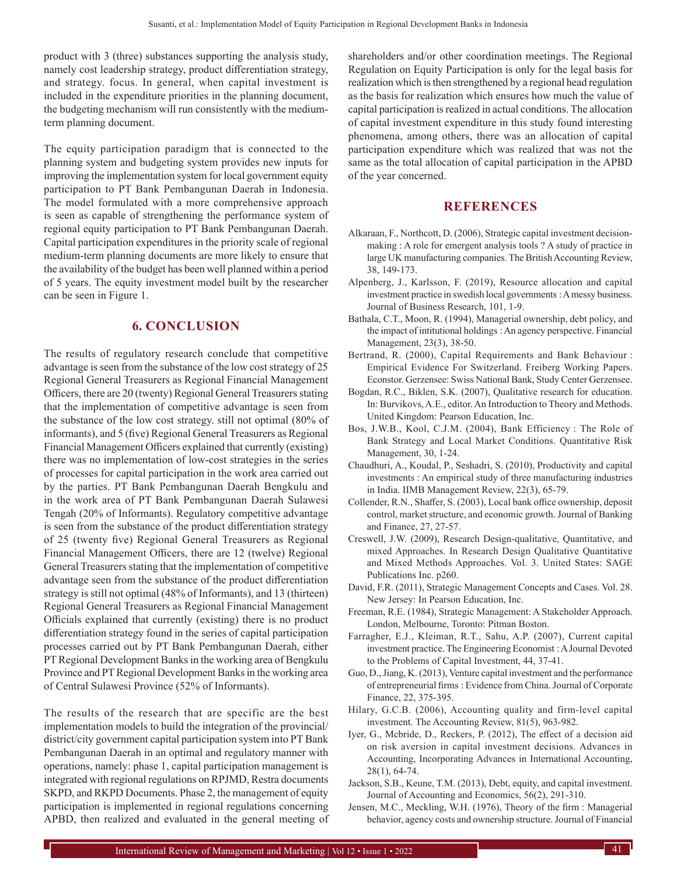product with 3 (three) substances supporting the analysis study, namely cost leadership strategy, product differentiation strategy, and strategy. focus. In general, when capital investment is included in the expenditure priorities in the planning document, the budgeting mechanism will run consistently with the mediumterm planning document.

The equity participation paradigm that is connected to the planning system and budgeting system provides new inputs for improving the implementation system for local government equity participation to PT Bank Pembangunan Daerah in Indonesia. The model formulated with a more comprehensive approach is seen as capable of strengthening the performance system of regional equity participation to PT Bank Pembangunan Daerah. Capital participation expenditures in the priority scale of regional medium-term planning documents are more likely to ensure that the availability of the budget has been well planned within a period of 5 years. The equity investment model built by the researcher can be seen in Figure 1.

# **6. CONCLUSION**

The results of regulatory research conclude that competitive advantage is seen from the substance of the low cost strategy of 25 Regional General Treasurers as Regional Financial Management Officers, there are 20 (twenty) Regional General Treasurers stating that the implementation of competitive advantage is seen from the substance of the low cost strategy. still not optimal (80% of informants), and 5 (five) Regional General Treasurers as Regional Financial Management Officers explained that currently (existing) there was no implementation of low-cost strategies in the series of processes for capital participation in the work area carried out by the parties. PT Bank Pembangunan Daerah Bengkulu and in the work area of PT Bank Pembangunan Daerah Sulawesi Tengah (20% of Informants). Regulatory competitive advantage is seen from the substance of the product differentiation strategy of 25 (twenty five) Regional General Treasurers as Regional Financial Management Officers, there are 12 (twelve) Regional General Treasurers stating that the implementation of competitive advantage seen from the substance of the product differentiation strategy is still not optimal (48% of Informants), and 13 (thirteen) Regional General Treasurers as Regional Financial Management Officials explained that currently (existing) there is no product differentiation strategy found in the series of capital participation processes carried out by PT Bank Pembangunan Daerah, either PT Regional Development Banks in the working area of Bengkulu Province and PT Regional Development Banks in the working area of Central Sulawesi Province (52% of Informants).

The results of the research that are specific are the best implementation models to build the integration of the provincial/ district/city government capital participation system into PT Bank Pembangunan Daerah in an optimal and regulatory manner with operations, namely: phase 1, capital participation management is integrated with regional regulations on RPJMD, Restra documents SKPD, and RKPD Documents. Phase 2, the management of equity participation is implemented in regional regulations concerning APBD, then realized and evaluated in the general meeting of shareholders and/or other coordination meetings. The Regional Regulation on Equity Participation is only for the legal basis for realization which is then strengthened by a regional head regulation as the basis for realization which ensures how much the value of capital participation is realized in actual conditions. The allocation of capital investment expenditure in this study found interesting phenomena, among others, there was an allocation of capital participation expenditure which was realized that was not the same as the total allocation of capital participation in the APBD of the year concerned.

# **REFERENCES**

- Alkaraan, F., Northcott, D. (2006), Strategic capital investment decisionmaking : A role for emergent analysis tools ? A study of practice in large UK manufacturing companies. The British Accounting Review, 38, 149-173.
- Alpenberg, J., Karlsson, F. (2019), Resource allocation and capital investment practice in swedish local governments : Amessy business. Journal of Business Research, 101, 1-9.
- Bathala, C.T., Moon, R. (1994), Managerial ownership, debt policy, and the impact of intitutional holdings : An agency perspective. Financial Management, 23(3), 38-50.
- Bertrand, R. (2000), Capital Requirements and Bank Behaviour : Empirical Evidence For Switzerland. Freiberg Working Papers. Econstor. Gerzensee: Swiss National Bank, Study Center Gerzensee.
- Bogdan, R.C., Biklen, S.K. (2007), Qualitative research for education. In: Burvikovs, A.E., editor. An Introduction to Theory and Methods. United Kingdom: Pearson Education, Inc.
- Bos, J.W.B., Kool, C.J.M. (2004), Bank Efficiency : The Role of Bank Strategy and Local Market Conditions. Quantitative Risk Management, 30, 1-24.
- Chaudhuri, A., Koudal, P., Seshadri, S. (2010), Productivity and capital investments : An empirical study of three manufacturing industries in India. IIMB Management Review, 22(3), 65-79.
- Collender, R.N., Shaffer, S. (2003), Local bank office ownership, deposit control, market structure, and economic growth. Journal of Banking and Finance, 27, 27-57.
- Creswell, J.W. (2009), Research Design-qualitative, Quantitative, and mixed Approaches. In Research Design Qualitative Quantitative and Mixed Methods Approaches. Vol. 3. United States: SAGE Publications Inc. p260.
- David, F.R. (2011), Strategic Management Concepts and Cases. Vol. 28. New Jersey: In Pearson Education, Inc.
- Freeman, R.E. (1984), Strategic Management: A Stakeholder Approach. London, Melbourne, Toronto: Pitman Boston.
- Farragher, E.J., Kleiman, R.T., Sahu, A.P. (2007), Current capital investment practice. The Engineering Economist : AJournal Devoted to the Problems of Capital Investment, 44, 37-41.
- Guo, D., Jiang, K. (2013), Venture capital investment and the performance of entrepreneurial firms : Evidence from China. Journal of Corporate Finance, 22, 375-395.
- Hilary, G.C.B. (2006), Accounting quality and firm-level capital investment. The Accounting Review, 81(5), 963-982.
- Iyer, G., Mcbride, D., Reckers, P. (2012), The effect of a decision aid on risk aversion in capital investment decisions. Advances in Accounting, Incorporating Advances in International Accounting, 28(1), 64-74.
- Jackson, S.B., Keune, T.M. (2013), Debt, equity, and capital investment. Journal of Accounting and Economics, 56(2), 291-310.
- Jensen, M.C., Meckling, W.H. (1976), Theory of the firm : Managerial behavior, agency costs and ownership structure. Journal of Financial